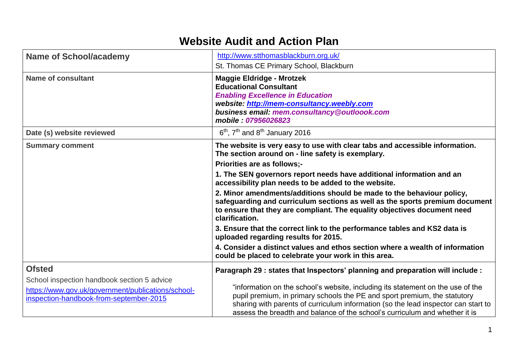## **Website Audit and Action Plan**

| <b>Name of School/academy</b>                                                                                                                | http://www.stthomasblackburn.org.uk/                                                                                                                                                                                                                                                                                              |  |  |  |  |
|----------------------------------------------------------------------------------------------------------------------------------------------|-----------------------------------------------------------------------------------------------------------------------------------------------------------------------------------------------------------------------------------------------------------------------------------------------------------------------------------|--|--|--|--|
|                                                                                                                                              | St. Thomas CE Primary School, Blackburn                                                                                                                                                                                                                                                                                           |  |  |  |  |
| Name of consultant                                                                                                                           | <b>Maggie Eldridge - Mrotzek</b><br><b>Educational Consultant</b><br><b>Enabling Excellence in Education</b><br>website: http://mem-consultancy.weebly.com<br>business email: mem.consultancy@outloook.com<br>mobile: 07956026823                                                                                                 |  |  |  |  |
| Date (s) website reviewed                                                                                                                    | $6th$ , $7th$ and $8th$ January 2016                                                                                                                                                                                                                                                                                              |  |  |  |  |
| <b>Summary comment</b>                                                                                                                       | The website is very easy to use with clear tabs and accessible information.<br>The section around on - line safety is exemplary.                                                                                                                                                                                                  |  |  |  |  |
|                                                                                                                                              | <b>Priorities are as follows:-</b>                                                                                                                                                                                                                                                                                                |  |  |  |  |
|                                                                                                                                              | 1. The SEN governors report needs have additional information and an<br>accessibility plan needs to be added to the website.                                                                                                                                                                                                      |  |  |  |  |
|                                                                                                                                              | 2. Minor amendments/additions should be made to the behaviour policy,<br>safeguarding and curriculum sections as well as the sports premium document<br>to ensure that they are compliant. The equality objectives document need<br>clarification.                                                                                |  |  |  |  |
|                                                                                                                                              | 3. Ensure that the correct link to the performance tables and KS2 data is<br>uploaded regarding results for 2015.                                                                                                                                                                                                                 |  |  |  |  |
|                                                                                                                                              | 4. Consider a distinct values and ethos section where a wealth of information<br>could be placed to celebrate your work in this area.                                                                                                                                                                                             |  |  |  |  |
| <b>Ofsted</b>                                                                                                                                | Paragraph 29 : states that Inspectors' planning and preparation will include :                                                                                                                                                                                                                                                    |  |  |  |  |
| School inspection handbook section 5 advice<br>https://www.gov.uk/government/publications/school-<br>inspection-handbook-from-september-2015 | "information on the school's website, including its statement on the use of the<br>pupil premium, in primary schools the PE and sport premium, the statutory<br>sharing with parents of curriculum information (so the lead inspector can start to<br>assess the breadth and balance of the school's curriculum and whether it is |  |  |  |  |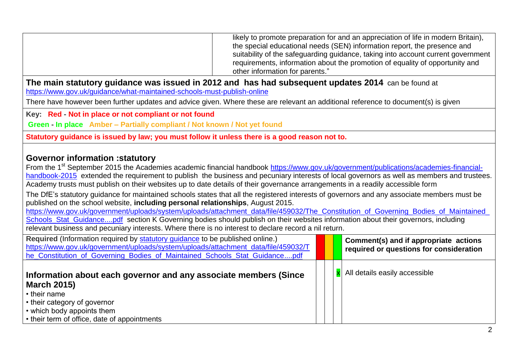| likely to promote preparation for and an appreciation of life in modern Britain),<br>the special educational needs (SEN) information report, the presence and<br>suitability of the safeguarding guidance, taking into account current government<br>requirements, information about the promotion of equality of opportunity and<br>other information for parents."                                                                                                                                                                                                                                                                                                                                                                                                                                                                                                                                                                                                                                                                                                                                |  |  |                                                                                  |  |  |
|-----------------------------------------------------------------------------------------------------------------------------------------------------------------------------------------------------------------------------------------------------------------------------------------------------------------------------------------------------------------------------------------------------------------------------------------------------------------------------------------------------------------------------------------------------------------------------------------------------------------------------------------------------------------------------------------------------------------------------------------------------------------------------------------------------------------------------------------------------------------------------------------------------------------------------------------------------------------------------------------------------------------------------------------------------------------------------------------------------|--|--|----------------------------------------------------------------------------------|--|--|
| The main statutory guidance was issued in 2012 and has had subsequent updates 2014 can be found at<br>https://www.gov.uk/guidance/what-maintained-schools-must-publish-online                                                                                                                                                                                                                                                                                                                                                                                                                                                                                                                                                                                                                                                                                                                                                                                                                                                                                                                       |  |  |                                                                                  |  |  |
| There have however been further updates and advice given. Where these are relevant an additional reference to document(s) is given                                                                                                                                                                                                                                                                                                                                                                                                                                                                                                                                                                                                                                                                                                                                                                                                                                                                                                                                                                  |  |  |                                                                                  |  |  |
| Key: Red - Not in place or not compliant or not found                                                                                                                                                                                                                                                                                                                                                                                                                                                                                                                                                                                                                                                                                                                                                                                                                                                                                                                                                                                                                                               |  |  |                                                                                  |  |  |
| Green - In place Amber - Partially compliant / Not known / Not yet found                                                                                                                                                                                                                                                                                                                                                                                                                                                                                                                                                                                                                                                                                                                                                                                                                                                                                                                                                                                                                            |  |  |                                                                                  |  |  |
| Statutory guidance is issued by law; you must follow it unless there is a good reason not to.                                                                                                                                                                                                                                                                                                                                                                                                                                                                                                                                                                                                                                                                                                                                                                                                                                                                                                                                                                                                       |  |  |                                                                                  |  |  |
| <b>Governor information : statutory</b><br>From the 1 <sup>st</sup> September 2015 the Academies academic financial handbook https://www.gov.uk/government/publications/academies-financial-<br>handbook-2015 extended the requirement to publish the business and pecuniary interests of local governors as well as members and trustees.<br>Academy trusts must publish on their websites up to date details of their governance arrangements in a readily accessible form<br>The DfE's statutory guidance for maintained schools states that all the registered interests of governors and any associate members must be<br>published on the school website, including personal relationships, August 2015.<br>https://www.gov.uk/government/uploads/system/uploads/attachment_data/file/459032/The_Constitution_of_Governing_Bodies_of_Maintained<br>Schools Stat Guidancepdf section K Governing bodies should publish on their websites information about their governors, including<br>relevant business and pecuniary interests. Where there is no interest to declare record a nil return. |  |  |                                                                                  |  |  |
| Required (Information required by statutory guidance to be published online.)<br>https://www.gov.uk/government/uploads/system/uploads/attachment_data/file/459032/T<br>he Constitution of Governing Bodies of Maintained Schools Stat Guidancepdf                                                                                                                                                                                                                                                                                                                                                                                                                                                                                                                                                                                                                                                                                                                                                                                                                                                   |  |  | Comment(s) and if appropriate actions<br>required or questions for consideration |  |  |
| Information about each governor and any associate members (Since<br><b>March 2015)</b><br>• their name<br>• their category of governor                                                                                                                                                                                                                                                                                                                                                                                                                                                                                                                                                                                                                                                                                                                                                                                                                                                                                                                                                              |  |  | All details easily accessible                                                    |  |  |
| • which body appoints them<br>• their term of office, date of appointments                                                                                                                                                                                                                                                                                                                                                                                                                                                                                                                                                                                                                                                                                                                                                                                                                                                                                                                                                                                                                          |  |  |                                                                                  |  |  |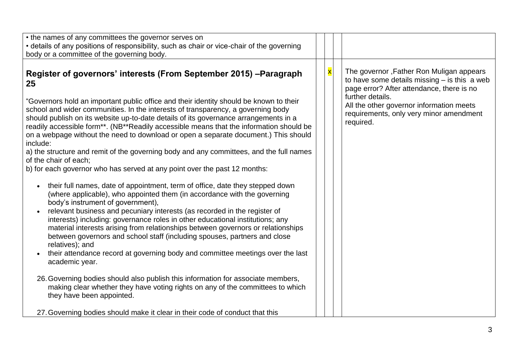| • the names of any committees the governor serves on<br>• details of any positions of responsibility, such as chair or vice-chair of the governing<br>body or a committee of the governing body.                                                                                                                                                                                                                                                                                                                                                                                                                                                                                                                                                                                                                                                                                                                                                                                                                                                                                                                                                                                                                                                                                                                                                                                                                                                                                                                                                                                                                      |                         |                                                                                                                                                                                                                                                                 |
|-----------------------------------------------------------------------------------------------------------------------------------------------------------------------------------------------------------------------------------------------------------------------------------------------------------------------------------------------------------------------------------------------------------------------------------------------------------------------------------------------------------------------------------------------------------------------------------------------------------------------------------------------------------------------------------------------------------------------------------------------------------------------------------------------------------------------------------------------------------------------------------------------------------------------------------------------------------------------------------------------------------------------------------------------------------------------------------------------------------------------------------------------------------------------------------------------------------------------------------------------------------------------------------------------------------------------------------------------------------------------------------------------------------------------------------------------------------------------------------------------------------------------------------------------------------------------------------------------------------------------|-------------------------|-----------------------------------------------------------------------------------------------------------------------------------------------------------------------------------------------------------------------------------------------------------------|
| Register of governors' interests (From September 2015) - Paragraph<br>25<br>"Governors hold an important public office and their identity should be known to their<br>school and wider communities. In the interests of transparency, a governing body<br>should publish on its website up-to-date details of its governance arrangements in a<br>readily accessible form**. (NB**Readily accessible means that the information should be<br>on a webpage without the need to download or open a separate document.) This should<br>include:<br>a) the structure and remit of the governing body and any committees, and the full names<br>of the chair of each:<br>b) for each governor who has served at any point over the past 12 months:<br>their full names, date of appointment, term of office, date they stepped down<br>$\bullet$<br>(where applicable), who appointed them (in accordance with the governing<br>body's instrument of government),<br>relevant business and pecuniary interests (as recorded in the register of<br>interests) including: governance roles in other educational institutions; any<br>material interests arising from relationships between governors or relationships<br>between governors and school staff (including spouses, partners and close<br>relatives); and<br>their attendance record at governing body and committee meetings over the last<br>academic year.<br>26. Governing bodies should also publish this information for associate members,<br>making clear whether they have voting rights on any of the committees to which<br>they have been appointed. | $\overline{\mathbf{x}}$ | The governor, Father Ron Muligan appears<br>to have some details missing $-$ is this a web<br>page error? After attendance, there is no<br>further details.<br>All the other governor information meets<br>requirements, only very minor amendment<br>required. |
| 27. Governing bodies should make it clear in their code of conduct that this                                                                                                                                                                                                                                                                                                                                                                                                                                                                                                                                                                                                                                                                                                                                                                                                                                                                                                                                                                                                                                                                                                                                                                                                                                                                                                                                                                                                                                                                                                                                          |                         |                                                                                                                                                                                                                                                                 |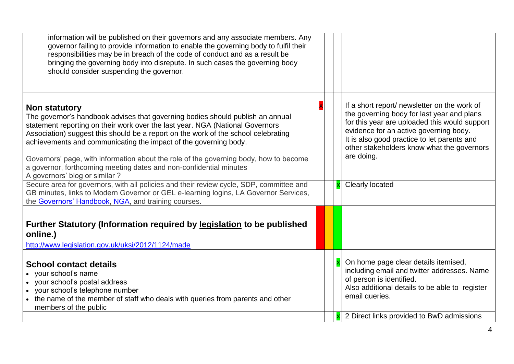| information will be published on their governors and any associate members. Any<br>governor failing to provide information to enable the governing body to fulfil their<br>responsibilities may be in breach of the code of conduct and as a result be<br>bringing the governing body into disrepute. In such cases the governing body<br>should consider suspending the governor.                                                                                                                                                         |  |                                                                                                                                                                                                                                                                                                  |
|--------------------------------------------------------------------------------------------------------------------------------------------------------------------------------------------------------------------------------------------------------------------------------------------------------------------------------------------------------------------------------------------------------------------------------------------------------------------------------------------------------------------------------------------|--|--------------------------------------------------------------------------------------------------------------------------------------------------------------------------------------------------------------------------------------------------------------------------------------------------|
| Non statutory<br>The governor's handbook advises that governing bodies should publish an annual<br>statement reporting on their work over the last year. NGA (National Governors<br>Association) suggest this should be a report on the work of the school celebrating<br>achievements and communicating the impact of the governing body.<br>Governors' page, with information about the role of the governing body, how to become<br>a governor, forthcoming meeting dates and non-confidential minutes<br>A governors' blog or similar? |  | If a short report/ newsletter on the work of<br>the governing body for last year and plans<br>for this year are uploaded this would support<br>evidence for an active governing body.<br>It is also good practice to let parents and<br>other stakeholders know what the governors<br>are doing. |
| Secure area for governors, with all policies and their review cycle, SDP, committee and<br>GB minutes, links to Modern Governor or GEL e-learning logins, LA Governor Services,<br>the Governors' Handbook, NGA, and training courses.                                                                                                                                                                                                                                                                                                     |  | Clearly located                                                                                                                                                                                                                                                                                  |
| Further Statutory (Information required by legislation to be published<br>online.)<br>http://www.legislation.gov.uk/uksi/2012/1124/made<br><b>School contact details</b><br>• your school's name<br>• your school's postal address<br>• your school's telephone number<br>• the name of the member of staff who deals with queries from parents and other<br>members of the public                                                                                                                                                         |  | On home page clear details itemised,<br>including email and twitter addresses. Name<br>of person is identified.<br>Also additional details to be able to register<br>email queries.                                                                                                              |
|                                                                                                                                                                                                                                                                                                                                                                                                                                                                                                                                            |  | 2 Direct links provided to BwD admissions                                                                                                                                                                                                                                                        |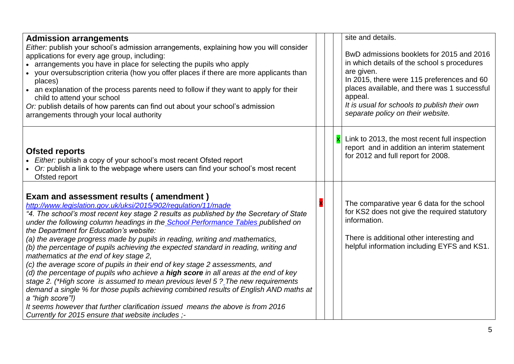| <b>Admission arrangements</b>                                                                                                                         |  | site and details.                                            |
|-------------------------------------------------------------------------------------------------------------------------------------------------------|--|--------------------------------------------------------------|
| Either: publish your school's admission arrangements, explaining how you will consider<br>applications for every age group, including:                |  | BwD admissions booklets for 2015 and 2016                    |
| • arrangements you have in place for selecting the pupils who apply                                                                                   |  | in which details of the school s procedures                  |
| • your oversubscription criteria (how you offer places if there are more applicants than                                                              |  | are given.                                                   |
| places)                                                                                                                                               |  | In 2015, there were 115 preferences and 60                   |
| • an explanation of the process parents need to follow if they want to apply for their<br>child to attend your school                                 |  | places available, and there was 1 successful<br>appeal.      |
| Or: publish details of how parents can find out about your school's admission                                                                         |  | It is usual for schools to publish their own                 |
| arrangements through your local authority                                                                                                             |  | separate policy on their website.                            |
|                                                                                                                                                       |  |                                                              |
|                                                                                                                                                       |  | Link to 2013, the most recent full inspection                |
|                                                                                                                                                       |  | report and in addition an interim statement                  |
| <b>Ofsted reports</b>                                                                                                                                 |  | for 2012 and full report for 2008.                           |
| Either: publish a copy of your school's most recent Ofsted report<br>Or: publish a link to the webpage where users can find your school's most recent |  |                                                              |
| Ofsted report                                                                                                                                         |  |                                                              |
|                                                                                                                                                       |  |                                                              |
| Exam and assessment results (amendment)                                                                                                               |  |                                                              |
| http://www.legislation.gov.uk/uksi/2015/902/regulation/11/made                                                                                        |  | The comparative year 6 data for the school                   |
| "4. The school's most recent key stage 2 results as published by the Secretary of State                                                               |  | for KS2 does not give the required statutory<br>information. |
| under the following column headings in the <b>School Performance Tables</b> published on                                                              |  |                                                              |
| the Department for Education's website:<br>(a) the average progress made by pupils in reading, writing and mathematics,                               |  | There is additional other interesting and                    |
| (b) the percentage of pupils achieving the expected standard in reading, writing and                                                                  |  | helpful information including EYFS and KS1.                  |
| mathematics at the end of key stage 2,                                                                                                                |  |                                                              |
| (c) the average score of pupils in their end of key stage 2 assessments, and                                                                          |  |                                                              |
| (d) the percentage of pupils who achieve a high score in all areas at the end of key                                                                  |  |                                                              |
| stage 2. (*High score is assumed to mean previous level 5 ? The new requirements                                                                      |  |                                                              |
| demand a single % for those pupils achieving combined results of English AND maths at                                                                 |  |                                                              |
| a "high score"!)<br>It seems however that further clarification issued means the above is from 2016                                                   |  |                                                              |
| Currently for 2015 ensure that website includes ;-                                                                                                    |  |                                                              |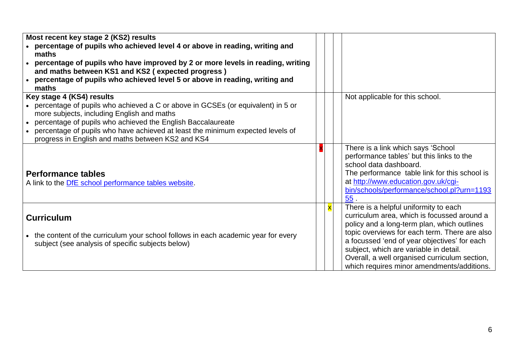| Most recent key stage 2 (KS2) results<br>• percentage of pupils who achieved level 4 or above in reading, writing and<br>maths<br>percentage of pupils who have improved by 2 or more levels in reading, writing<br>and maths between KS1 and KS2 (expected progress)<br>percentage of pupils who achieved level 5 or above in reading, writing and                         |                         |                                                                                                                                                                                                                                                                                                                                                                               |
|-----------------------------------------------------------------------------------------------------------------------------------------------------------------------------------------------------------------------------------------------------------------------------------------------------------------------------------------------------------------------------|-------------------------|-------------------------------------------------------------------------------------------------------------------------------------------------------------------------------------------------------------------------------------------------------------------------------------------------------------------------------------------------------------------------------|
| maths<br>Key stage 4 (KS4) results<br>• percentage of pupils who achieved a C or above in GCSEs (or equivalent) in 5 or<br>more subjects, including English and maths<br>percentage of pupils who achieved the English Baccalaureate<br>percentage of pupils who have achieved at least the minimum expected levels of<br>progress in English and maths between KS2 and KS4 |                         | Not applicable for this school.                                                                                                                                                                                                                                                                                                                                               |
| <b>Performance tables</b><br>A link to the DfE school performance tables website.                                                                                                                                                                                                                                                                                           |                         | There is a link which says 'School<br>performance tables' but this links to the<br>school data dashboard.<br>The performance table link for this school is<br>at http://www.education.gov.uk/cgi-<br>bin/schools/performance/school.pl?urn=1193<br>55.                                                                                                                        |
| <b>Curriculum</b><br>• the content of the curriculum your school follows in each academic year for every<br>subject (see analysis of specific subjects below)                                                                                                                                                                                                               | $\overline{\textbf{x}}$ | There is a helpful uniformity to each<br>curriculum area, which is focussed around a<br>policy and a long-term plan, which outlines<br>topic overviews for each term. There are also<br>a focussed 'end of year objectives' for each<br>subject, which are variable in detail.<br>Overall, a well organised curriculum section,<br>which requires minor amendments/additions. |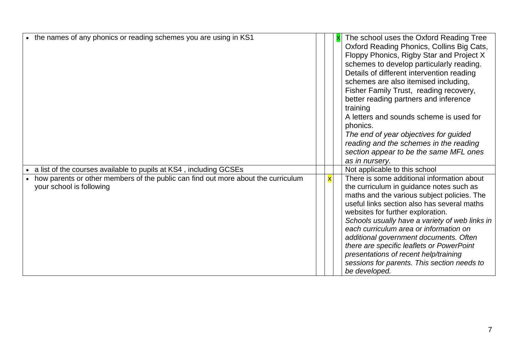| • the names of any phonics or reading schemes you are using in KS1                                                                                                                 |                         | The school uses the Oxford Reading Tree<br>Oxford Reading Phonics, Collins Big Cats,<br>Floppy Phonics, Rigby Star and Project X<br>schemes to develop particularly reading.<br>Details of different intervention reading<br>schemes are also itemised including,<br>Fisher Family Trust, reading recovery,<br>better reading partners and inference<br>training<br>A letters and sounds scheme is used for<br>phonics.<br>The end of year objectives for guided<br>reading and the schemes in the reading<br>section appear to be the same MFL ones<br>as in nursery. |
|------------------------------------------------------------------------------------------------------------------------------------------------------------------------------------|-------------------------|------------------------------------------------------------------------------------------------------------------------------------------------------------------------------------------------------------------------------------------------------------------------------------------------------------------------------------------------------------------------------------------------------------------------------------------------------------------------------------------------------------------------------------------------------------------------|
| a list of the courses available to pupils at KS4, including GCSEs<br>how parents or other members of the public can find out more about the curriculum<br>your school is following | $\overline{\textbf{x}}$ | Not applicable to this school<br>There is some additional information about<br>the curriculum in guidance notes such as<br>maths and the various subject policies. The<br>useful links section also has several maths<br>websites for further exploration.<br>Schools usually have a variety of web links in<br>each curriculum area or information on<br>additional government documents. Often<br>there are specific leaflets or PowerPoint<br>presentations of recent help/training<br>sessions for parents. This section needs to<br>be developed.                 |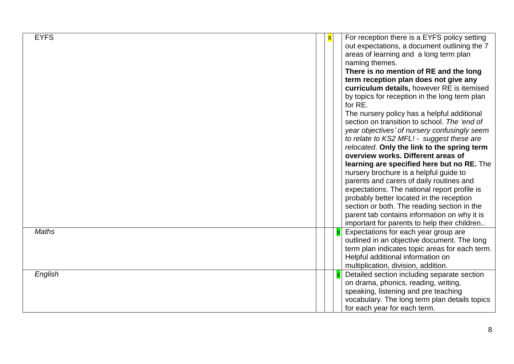| <b>EYFS</b><br><b>Maths</b> | X | For reception there is a EYFS policy setting<br>out expectations, a document outlining the 7<br>areas of learning and a long term plan<br>naming themes.<br>There is no mention of RE and the long<br>term reception plan does not give any<br>curriculum details, however RE is itemised<br>by topics for reception in the long term plan<br>for RE.<br>The nursery policy has a helpful additional<br>section on transition to school. The 'end of<br>year objectives' of nursery confusingly seem<br>to relate to KS2 MFL! - suggest these are<br>relocated. Only the link to the spring term<br>overview works. Different areas of<br>learning are specified here but no RE. The<br>nursery brochure is a helpful guide to<br>parents and carers of daily routines and<br>expectations. The national report profile is<br>probably better located in the reception<br>section or both. The reading section in the<br>parent tab contains information on why it is<br>important for parents to help their children<br>Expectations for each year group are |
|-----------------------------|---|---------------------------------------------------------------------------------------------------------------------------------------------------------------------------------------------------------------------------------------------------------------------------------------------------------------------------------------------------------------------------------------------------------------------------------------------------------------------------------------------------------------------------------------------------------------------------------------------------------------------------------------------------------------------------------------------------------------------------------------------------------------------------------------------------------------------------------------------------------------------------------------------------------------------------------------------------------------------------------------------------------------------------------------------------------------|
|                             |   | outlined in an objective document. The long<br>term plan indicates topic areas for each term.<br>Helpful additional information on<br>multiplication, division, addition.                                                                                                                                                                                                                                                                                                                                                                                                                                                                                                                                                                                                                                                                                                                                                                                                                                                                                     |
| English                     |   | Detailed section including separate section<br>on drama, phonics, reading, writing,<br>speaking, listening and pre teaching<br>vocabulary. The long term plan details topics<br>for each year for each term.                                                                                                                                                                                                                                                                                                                                                                                                                                                                                                                                                                                                                                                                                                                                                                                                                                                  |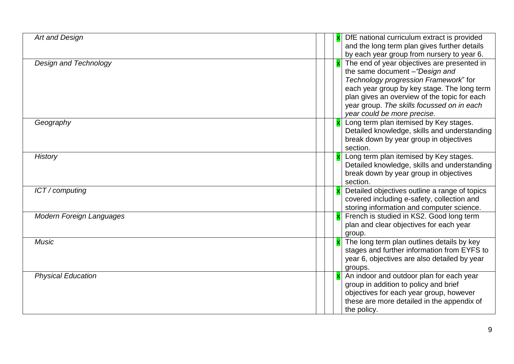| Art and Design                  |  | DfE national curriculum extract is provided<br>and the long term plan gives further details                                                                                                                                                                                                                                                      |
|---------------------------------|--|--------------------------------------------------------------------------------------------------------------------------------------------------------------------------------------------------------------------------------------------------------------------------------------------------------------------------------------------------|
| <b>Design and Technology</b>    |  | by each year group from nursery to year 6.<br>The end of year objectives are presented in<br>the same document -"Design and<br>Technology progression Framework" for<br>each year group by key stage. The long term<br>plan gives an overview of the topic for each<br>year group. The skills focussed on in each<br>year could be more precise. |
| Geography                       |  | Long term plan itemised by Key stages.<br>Detailed knowledge, skills and understanding<br>break down by year group in objectives<br>section.                                                                                                                                                                                                     |
| <b>History</b>                  |  | Long term plan itemised by Key stages.<br>Detailed knowledge, skills and understanding<br>break down by year group in objectives<br>section.                                                                                                                                                                                                     |
| ICT / computing                 |  | Detailed objectives outline a range of topics<br>covered including e-safety, collection and<br>storing information and computer science.                                                                                                                                                                                                         |
| <b>Modern Foreign Languages</b> |  | French is studied in KS2. Good long term<br>plan and clear objectives for each year<br>group.                                                                                                                                                                                                                                                    |
| <b>Music</b>                    |  | The long term plan outlines details by key<br>stages and further information from EYFS to<br>year 6, objectives are also detailed by year<br>groups.                                                                                                                                                                                             |
| <b>Physical Education</b>       |  | An indoor and outdoor plan for each year<br>group in addition to policy and brief<br>objectives for each year group, however<br>these are more detailed in the appendix of<br>the policy.                                                                                                                                                        |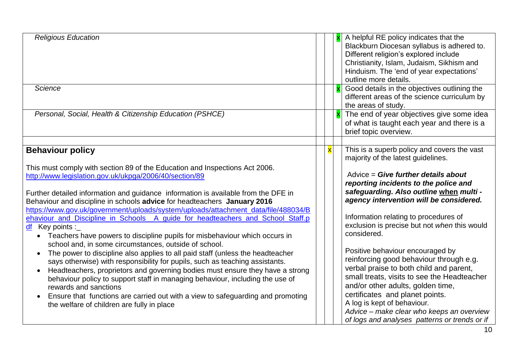| <b>Religious Education</b>                                                                                                                                                                                                                                                                                                                                                                                                                                                                                                                                                                                                                                                                                                                                                                                                                                                                                                                                                                                                                                                                                                                                             |                         | A helpful RE policy indicates that the<br>Blackburn Diocesan syllabus is adhered to.<br>Different religion's explored include<br>Christianity, Islam, Judaism, Sikhism and<br>Hinduism. The 'end of year expectations'<br>outline more details.                                                                                                                                                                                                                                                                                                                                                                                                                                                                                               |
|------------------------------------------------------------------------------------------------------------------------------------------------------------------------------------------------------------------------------------------------------------------------------------------------------------------------------------------------------------------------------------------------------------------------------------------------------------------------------------------------------------------------------------------------------------------------------------------------------------------------------------------------------------------------------------------------------------------------------------------------------------------------------------------------------------------------------------------------------------------------------------------------------------------------------------------------------------------------------------------------------------------------------------------------------------------------------------------------------------------------------------------------------------------------|-------------------------|-----------------------------------------------------------------------------------------------------------------------------------------------------------------------------------------------------------------------------------------------------------------------------------------------------------------------------------------------------------------------------------------------------------------------------------------------------------------------------------------------------------------------------------------------------------------------------------------------------------------------------------------------------------------------------------------------------------------------------------------------|
| Science                                                                                                                                                                                                                                                                                                                                                                                                                                                                                                                                                                                                                                                                                                                                                                                                                                                                                                                                                                                                                                                                                                                                                                |                         | Good details in the objectives outlining the<br>different areas of the science curriculum by<br>the areas of study.                                                                                                                                                                                                                                                                                                                                                                                                                                                                                                                                                                                                                           |
| Personal, Social, Health & Citizenship Education (PSHCE)                                                                                                                                                                                                                                                                                                                                                                                                                                                                                                                                                                                                                                                                                                                                                                                                                                                                                                                                                                                                                                                                                                               |                         | The end of year objectives give some idea<br>of what is taught each year and there is a<br>brief topic overview.                                                                                                                                                                                                                                                                                                                                                                                                                                                                                                                                                                                                                              |
|                                                                                                                                                                                                                                                                                                                                                                                                                                                                                                                                                                                                                                                                                                                                                                                                                                                                                                                                                                                                                                                                                                                                                                        |                         |                                                                                                                                                                                                                                                                                                                                                                                                                                                                                                                                                                                                                                                                                                                                               |
| <b>Behaviour policy</b><br>This must comply with section 89 of the Education and Inspections Act 2006.<br>http://www.legislation.gov.uk/ukpga/2006/40/section/89<br>Further detailed information and guidance information is available from the DFE in<br>Behaviour and discipline in schools advice for headteachers January 2016<br>https://www.gov.uk/government/uploads/system/uploads/attachment_data/file/488034/B<br>ehaviour and Discipline in Schools A guide for headteachers and School Staff.p<br>$df$ Key points :<br>• Teachers have powers to discipline pupils for misbehaviour which occurs in<br>school and, in some circumstances, outside of school.<br>The power to discipline also applies to all paid staff (unless the headteacher<br>says otherwise) with responsibility for pupils, such as teaching assistants.<br>Headteachers, proprietors and governing bodies must ensure they have a strong<br>behaviour policy to support staff in managing behaviour, including the use of<br>rewards and sanctions<br>Ensure that functions are carried out with a view to safeguarding and promoting<br>the welfare of children are fully in place | $\overline{\mathbf{x}}$ | This is a superb policy and covers the vast<br>majority of the latest guidelines.<br>Advice = Give further details about<br>reporting incidents to the police and<br>safeguarding. Also outline when multi -<br>agency intervention will be considered.<br>Information relating to procedures of<br>exclusion is precise but not when this would<br>considered.<br>Positive behaviour encouraged by<br>reinforcing good behaviour through e.g.<br>verbal praise to both child and parent,<br>small treats, visits to see the Headteacher<br>and/or other adults, golden time,<br>certificates and planet points.<br>A log is kept of behaviour.<br>Advice - make clear who keeps an overview<br>of logs and analyses patterns or trends or if |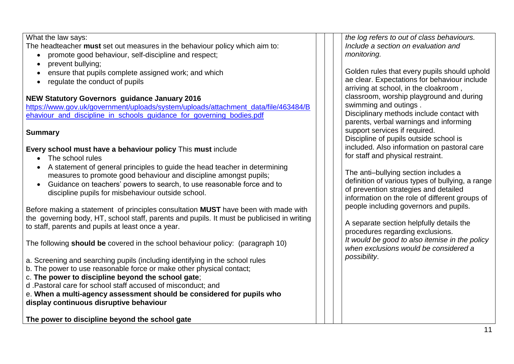What the law says: The headteacher **must** set out measures in the behaviour policy which aim to: promote good behaviour, self-discipline and respect; • prevent bullying; ensure that pupils complete assigned work; and which • regulate the conduct of pupils **NEW Statutory Governors guidance January 2016**  [https://www.gov.uk/government/uploads/system/uploads/attachment\\_data/file/463484/B](https://www.gov.uk/government/uploads/system/uploads/attachment_data/file/463484/Behaviour_and_discipline_in_schools_guidance_for_governing_bodies.pdf) [ehaviour\\_and\\_discipline\\_in\\_schools\\_guidance\\_for\\_governing\\_bodies.pdf](https://www.gov.uk/government/uploads/system/uploads/attachment_data/file/463484/Behaviour_and_discipline_in_schools_guidance_for_governing_bodies.pdf) **Summary Every school must have a behaviour policy** This **must** include • The school rules A statement of general principles to guide the head teacher in determining measures to promote good behaviour and discipline amongst pupils; Guidance on teachers' powers to search, to use reasonable force and to discipline pupils for misbehaviour outside school. Before making a statement of principles consultation **MUST** have been with made with the governing body, HT, school staff, parents and pupils. It must be publicised in writing to staff, parents and pupils at least once a year. The following **should be** covered in the school behaviour policy: (paragraph 10) a. Screening and searching pupils (including identifying in the school rules b. The power to use reasonable force or make other physical contact; c. **The power to discipline beyond the school gate**; d .Pastoral care for school staff accused of misconduct; and e. **When a multi-agency assessment should be considered for pupils who display continuous disruptive behaviour**  *the log refers to out of class behaviours. Include a section on evaluation and monitoring.* Golden rules that every pupils should uphold ae clear. Expectations for behaviour include arriving at school, in the cloakroom , classroom, worship playground and during swimming and outings . Disciplinary methods include contact with parents, verbal warnings and informing support services if required. Discipline of pupils outside school is included. Also information on pastoral care for staff and physical restraint. The anti–bullying section includes a definition of various types of bullying, a range of prevention strategies and detailed information on the role of different groups of people including governors and pupils. A separate section helpfully details the procedures regarding exclusions. *It would be good to also itemise in the policy when exclusions would be considered a possibility*.

**The power to discipline beyond the school gate**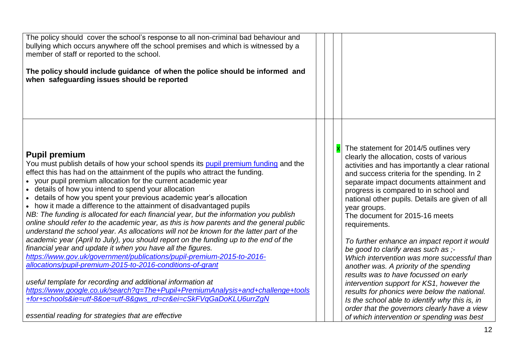| The policy should cover the school's response to all non-criminal bad behaviour and<br>bullying which occurs anywhere off the school premises and which is witnessed by a<br>member of staff or reported to the school.<br>The policy should include guidance of when the police should be informed and<br>when safeguarding issues should be reported                                                                                                                                                                                                                                                                                                                                                                                                                                                                                                                                                                                                                                                                                                                                                                                                                                                                                                                                                                          |  |                                                                                                                                                                                                                                                                                                                                                                                                                                                                                                                                                                                                                                                                                                                                                                                                                                                                        |
|---------------------------------------------------------------------------------------------------------------------------------------------------------------------------------------------------------------------------------------------------------------------------------------------------------------------------------------------------------------------------------------------------------------------------------------------------------------------------------------------------------------------------------------------------------------------------------------------------------------------------------------------------------------------------------------------------------------------------------------------------------------------------------------------------------------------------------------------------------------------------------------------------------------------------------------------------------------------------------------------------------------------------------------------------------------------------------------------------------------------------------------------------------------------------------------------------------------------------------------------------------------------------------------------------------------------------------|--|------------------------------------------------------------------------------------------------------------------------------------------------------------------------------------------------------------------------------------------------------------------------------------------------------------------------------------------------------------------------------------------------------------------------------------------------------------------------------------------------------------------------------------------------------------------------------------------------------------------------------------------------------------------------------------------------------------------------------------------------------------------------------------------------------------------------------------------------------------------------|
| <b>Pupil premium</b><br>You must publish details of how your school spends its pupil premium funding and the<br>effect this has had on the attainment of the pupils who attract the funding.<br>• your pupil premium allocation for the current academic year<br>• details of how you intend to spend your allocation<br>• details of how you spent your previous academic year's allocation<br>• how it made a difference to the attainment of disadvantaged pupils<br>NB: The funding is allocated for each financial year, but the information you publish<br>online should refer to the academic year, as this is how parents and the general public<br>understand the school year. As allocations will not be known for the latter part of the<br>academic year (April to July), you should report on the funding up to the end of the<br>financial year and update it when you have all the figures.<br>https://www.gov.uk/government/publications/pupil-premium-2015-to-2016-<br>allocations/pupil-premium-2015-to-2016-conditions-of-grant<br>useful template for recording and additional information at<br>https://www.google.co.uk/search?g=The+Pupil+PremiumAnalysis+and+challenge+tools<br>+for+schools&ie=utf-8&oe=utf-8&gws_rd=cr&ei=cSkFVqGaDoKLU6urrZgN<br>essential reading for strategies that are effective |  | The statement for 2014/5 outlines very<br>clearly the allocation, costs of various<br>activities and has importantly a clear rational<br>and success criteria for the spending. In 2<br>separate impact documents attainment and<br>progress is compared to in school and<br>national other pupils. Details are given of all<br>year groups.<br>The document for 2015-16 meets<br>requirements.<br>To further enhance an impact report it would<br>be good to clarify areas such as ;-<br>Which intervention was more successful than<br>another was. A priority of the spending<br>results was to have focussed on early<br>intervention support for KS1, however the<br>results for phonics were below the national.<br>Is the school able to identify why this is, in<br>order that the governors clearly have a view<br>of which intervention or spending was best |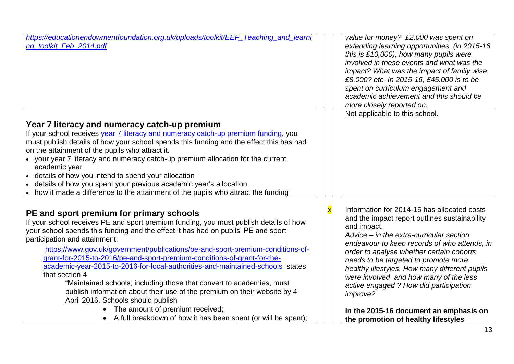| https://educationendowmentfoundation.org.uk/uploads/toolkit/EEF_Teaching_and_learni<br>ng_toolkit_Feb_2014.pdf                                                                                                                                                                                                                                                                                                                                                                                                                                                                                                                                                                                                      |                         | value for money? £2,000 was spent on<br>extending learning opportunities, (in 2015-16<br>this is $£10,000$ , how many pupils were<br>involved in these events and what was the<br>impact? What was the impact of family wise<br>£8.000? etc. In 2015-16, £45.000 is to be<br>spent on curriculum engagement and<br>academic achievement and this should be<br>more closely reported on.<br>Not applicable to this school.                    |
|---------------------------------------------------------------------------------------------------------------------------------------------------------------------------------------------------------------------------------------------------------------------------------------------------------------------------------------------------------------------------------------------------------------------------------------------------------------------------------------------------------------------------------------------------------------------------------------------------------------------------------------------------------------------------------------------------------------------|-------------------------|----------------------------------------------------------------------------------------------------------------------------------------------------------------------------------------------------------------------------------------------------------------------------------------------------------------------------------------------------------------------------------------------------------------------------------------------|
|                                                                                                                                                                                                                                                                                                                                                                                                                                                                                                                                                                                                                                                                                                                     |                         |                                                                                                                                                                                                                                                                                                                                                                                                                                              |
| Year 7 literacy and numeracy catch-up premium<br>If your school receives year 7 literacy and numeracy catch-up premium funding, you<br>must publish details of how your school spends this funding and the effect this has had<br>on the attainment of the pupils who attract it.<br>• your year 7 literacy and numeracy catch-up premium allocation for the current<br>academic year<br>details of how you intend to spend your allocation<br>details of how you spent your previous academic year's allocation<br>how it made a difference to the attainment of the pupils who attract the funding                                                                                                                |                         |                                                                                                                                                                                                                                                                                                                                                                                                                                              |
| PE and sport premium for primary schools<br>If your school receives PE and sport premium funding, you must publish details of how<br>your school spends this funding and the effect it has had on pupils' PE and sport<br>participation and attainment.<br>https://www.gov.uk/government/publications/pe-and-sport-premium-conditions-of-<br>grant-for-2015-to-2016/pe-and-sport-premium-conditions-of-grant-for-the-<br>academic-year-2015-to-2016-for-local-authorities-and-maintained-schools states<br>that section 4<br>"Maintained schools, including those that convert to academies, must<br>publish information about their use of the premium on their website by 4<br>April 2016. Schools should publish | $\overline{\mathbf{x}}$ | Information for 2014-15 has allocated costs<br>and the impact report outlines sustainability<br>and impact.<br>Advice – in the extra-curricular section<br>endeavour to keep records of who attends, in<br>order to analyse whether certain cohorts<br>needs to be targeted to promote more<br>healthy lifestyles. How many different pupils<br>were involved and how many of the less<br>active engaged ? How did participation<br>improve? |
| The amount of premium received;<br>• A full breakdown of how it has been spent (or will be spent);                                                                                                                                                                                                                                                                                                                                                                                                                                                                                                                                                                                                                  |                         | In the 2015-16 document an emphasis on<br>the promotion of healthy lifestyles                                                                                                                                                                                                                                                                                                                                                                |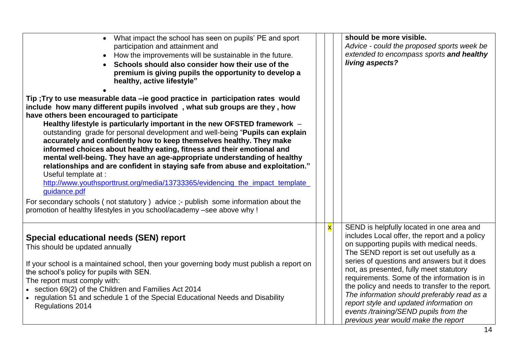| • What impact the school has seen on pupils' PE and sport<br>participation and attainment and<br>• How the improvements will be sustainable in the future.<br>Schools should also consider how their use of the<br>premium is giving pupils the opportunity to develop a<br>healthy, active lifestyle"<br>Tip ; Try to use measurable data -ie good practice in participation rates would<br>include how many different pupils involved, what sub groups are they, how<br>have others been encouraged to participate<br>Healthy lifestyle is particularly important in the new OFSTED framework -<br>outstanding grade for personal development and well-being "Pupils can explain<br>accurately and confidently how to keep themselves healthy. They make<br>informed choices about healthy eating, fitness and their emotional and<br>mental well-being. They have an age-appropriate understanding of healthy<br>relationships and are confident in staying safe from abuse and exploitation."<br>Useful template at :<br>http://www.youthsporttrust.org/media/13733365/evidencing_the_impact_template_<br>quidance.pdf<br>For secondary schools (not statutory) advice ;- publish some information about the |                         | should be more visible.<br>Advice - could the proposed sports week be<br>extended to encompass sports and healthy<br>living aspects?                                                                                                                                                                                                                                                                                                                                                                                                                     |
|------------------------------------------------------------------------------------------------------------------------------------------------------------------------------------------------------------------------------------------------------------------------------------------------------------------------------------------------------------------------------------------------------------------------------------------------------------------------------------------------------------------------------------------------------------------------------------------------------------------------------------------------------------------------------------------------------------------------------------------------------------------------------------------------------------------------------------------------------------------------------------------------------------------------------------------------------------------------------------------------------------------------------------------------------------------------------------------------------------------------------------------------------------------------------------------------------------------|-------------------------|----------------------------------------------------------------------------------------------------------------------------------------------------------------------------------------------------------------------------------------------------------------------------------------------------------------------------------------------------------------------------------------------------------------------------------------------------------------------------------------------------------------------------------------------------------|
| promotion of healthy lifestyles in you school/academy -see above why !                                                                                                                                                                                                                                                                                                                                                                                                                                                                                                                                                                                                                                                                                                                                                                                                                                                                                                                                                                                                                                                                                                                                           |                         |                                                                                                                                                                                                                                                                                                                                                                                                                                                                                                                                                          |
| Special educational needs (SEN) report<br>This should be updated annually<br>If your school is a maintained school, then your governing body must publish a report on<br>the school's policy for pupils with SEN.<br>The report must comply with:<br>• section 69(2) of the Children and Families Act 2014<br>• regulation 51 and schedule 1 of the Special Educational Needs and Disability<br>Regulations 2014                                                                                                                                                                                                                                                                                                                                                                                                                                                                                                                                                                                                                                                                                                                                                                                                 | $\overline{\mathbf{x}}$ | SEND is helpfully located in one area and<br>includes Local offer, the report and a policy<br>on supporting pupils with medical needs.<br>The SEND report is set out usefully as a<br>series of questions and answers but it does<br>not, as presented, fully meet statutory<br>requirements. Some of the information is in<br>the policy and needs to transfer to the report.<br>The information should preferably read as a<br>report style and updated information on<br>events /training/SEND pupils from the<br>previous year would make the report |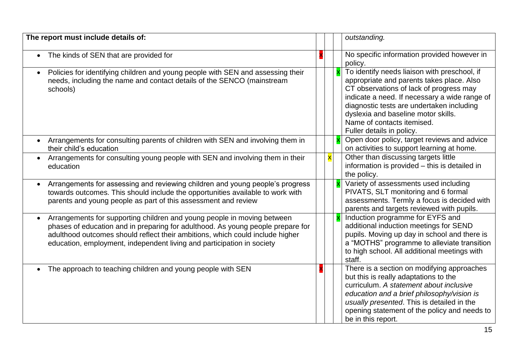| The report must include details of:                                                                                                                                                                                                                                                                                                |                         | outstanding.                                                                                                                                                                                                                                                                                                                         |
|------------------------------------------------------------------------------------------------------------------------------------------------------------------------------------------------------------------------------------------------------------------------------------------------------------------------------------|-------------------------|--------------------------------------------------------------------------------------------------------------------------------------------------------------------------------------------------------------------------------------------------------------------------------------------------------------------------------------|
| The kinds of SEN that are provided for                                                                                                                                                                                                                                                                                             |                         | No specific information provided however in<br>policy.                                                                                                                                                                                                                                                                               |
| Policies for identifying children and young people with SEN and assessing their<br>$\bullet$<br>needs, including the name and contact details of the SENCO (mainstream<br>schools)                                                                                                                                                 |                         | To identify needs liaison with preschool, if<br>appropriate and parents takes place. Also<br>CT observations of lack of progress may<br>indicate a need. If necessary a wide range of<br>diagnostic tests are undertaken including<br>dyslexia and baseline motor skills.<br>Name of contacts itemised.<br>Fuller details in policy. |
| Arrangements for consulting parents of children with SEN and involving them in<br>$\bullet$<br>their child's education                                                                                                                                                                                                             |                         | Open door policy, target reviews and advice<br>on activities to support learning at home.                                                                                                                                                                                                                                            |
| Arrangements for consulting young people with SEN and involving them in their<br>education                                                                                                                                                                                                                                         | $\overline{\mathbf{x}}$ | Other than discussing targets little<br>information is provided - this is detailed in<br>the policy.                                                                                                                                                                                                                                 |
| Arrangements for assessing and reviewing children and young people's progress<br>towards outcomes. This should include the opportunities available to work with<br>parents and young people as part of this assessment and review                                                                                                  |                         | Variety of assessments used including<br>PIVATS, SLT monitoring and 6 formal<br>assessments. Termly a focus is decided with<br>parents and targets reviewed with pupils.                                                                                                                                                             |
| Arrangements for supporting children and young people in moving between<br>$\bullet$<br>phases of education and in preparing for adulthood. As young people prepare for<br>adulthood outcomes should reflect their ambitions, which could include higher<br>education, employment, independent living and participation in society |                         | Induction programme for EYFS and<br>additional induction meetings for SEND<br>pupils. Moving up day in school and there is<br>a "MOTHS" programme to alleviate transition<br>to high school. All additional meetings with<br>staff.                                                                                                  |
| • The approach to teaching children and young people with SEN                                                                                                                                                                                                                                                                      |                         | There is a section on modifying approaches<br>but this is really adaptations to the<br>curriculum. A statement about inclusive<br>education and a brief philosophy/vision is<br>usually presented. This is detailed in the<br>opening statement of the policy and needs to<br>be in this report.                                     |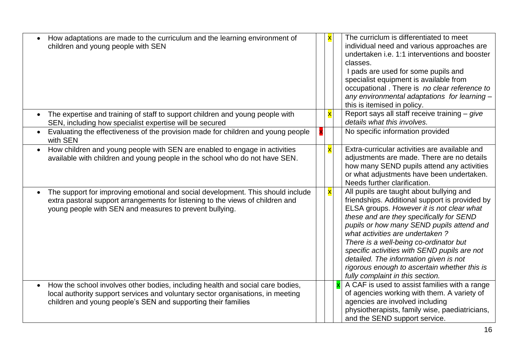| How adaptations are made to the curriculum and the learning environment of<br>children and young people with SEN                                                                                                                                | $\overline{\mathbf{x}}$ | The curriclum is differentiated to meet<br>individual need and various approaches are<br>undertaken i.e. 1:1 interventions and booster<br>classes.<br>I pads are used for some pupils and<br>specialist equipment is available from<br>occupational. There is no clear reference to<br>any environmental adaptations for learning -<br>this is itemised in policy.                                                                                                                          |
|-------------------------------------------------------------------------------------------------------------------------------------------------------------------------------------------------------------------------------------------------|-------------------------|---------------------------------------------------------------------------------------------------------------------------------------------------------------------------------------------------------------------------------------------------------------------------------------------------------------------------------------------------------------------------------------------------------------------------------------------------------------------------------------------|
| The expertise and training of staff to support children and young people with<br>SEN, including how specialist expertise will be secured                                                                                                        | $\overline{\mathbf{x}}$ | Report says all staff receive training - give<br>details what this involves.                                                                                                                                                                                                                                                                                                                                                                                                                |
| Evaluating the effectiveness of the provision made for children and young people<br>with SEN                                                                                                                                                    |                         | No specific information provided                                                                                                                                                                                                                                                                                                                                                                                                                                                            |
| How children and young people with SEN are enabled to engage in activities<br>available with children and young people in the school who do not have SEN.                                                                                       | $\overline{\mathbf{x}}$ | Extra-curricular activities are available and<br>adjustments are made. There are no details<br>how many SEND pupils attend any activities<br>or what adjustments have been undertaken.<br>Needs further clarification.                                                                                                                                                                                                                                                                      |
| The support for improving emotional and social development. This should include<br>extra pastoral support arrangements for listening to the views of children and<br>young people with SEN and measures to prevent bullying.                    | $\overline{\mathbf{x}}$ | All pupils are taught about bullying and<br>friendships. Additional support is provided by<br>ELSA groups. However it is not clear what<br>these and are they specifically for SEND<br>pupils or how many SEND pupils attend and<br>what activities are undertaken?<br>There is a well-being co-ordinator but<br>specific activities with SEND pupils are not<br>detailed. The information given is not<br>rigorous enough to ascertain whether this is<br>fully complaint in this section. |
| How the school involves other bodies, including health and social care bodies,<br>$\bullet$<br>local authority support services and voluntary sector organisations, in meeting<br>children and young people's SEN and supporting their families |                         | A CAF is used to assist families with a range<br>of agencies working with them. A variety of<br>agencies are involved including<br>physiotherapists, family wise, paediatricians,<br>and the SEND support service.                                                                                                                                                                                                                                                                          |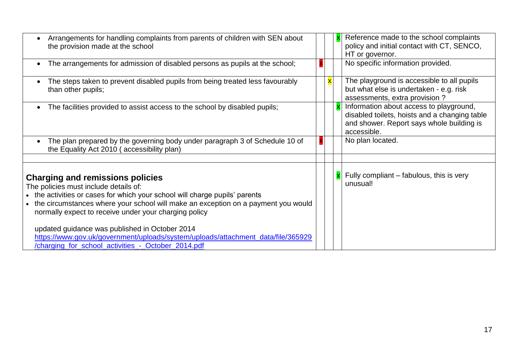| Arrangements for handling complaints from parents of children with SEN about<br>the provision made at the school                                                                                                                                                                                                                                                                                                                                                                                          |  | Reference made to the school complaints<br>policy and initial contact with CT, SENCO,<br>HT or governor.                                             |
|-----------------------------------------------------------------------------------------------------------------------------------------------------------------------------------------------------------------------------------------------------------------------------------------------------------------------------------------------------------------------------------------------------------------------------------------------------------------------------------------------------------|--|------------------------------------------------------------------------------------------------------------------------------------------------------|
| The arrangements for admission of disabled persons as pupils at the school;<br>$\bullet$                                                                                                                                                                                                                                                                                                                                                                                                                  |  | No specific information provided.                                                                                                                    |
| The steps taken to prevent disabled pupils from being treated less favourably<br>$\bullet$<br>than other pupils;                                                                                                                                                                                                                                                                                                                                                                                          |  | The playground is accessible to all pupils<br>but what else is undertaken - e.g. risk<br>assessments, extra provision?                               |
| The facilities provided to assist access to the school by disabled pupils;<br>$\bullet$                                                                                                                                                                                                                                                                                                                                                                                                                   |  | Information about access to playground,<br>disabled toilets, hoists and a changing table<br>and shower. Report says whole building is<br>accessible. |
| The plan prepared by the governing body under paragraph 3 of Schedule 10 of<br>$\bullet$<br>the Equality Act 2010 (accessibility plan)                                                                                                                                                                                                                                                                                                                                                                    |  | No plan located.                                                                                                                                     |
| <b>Charging and remissions policies</b><br>The policies must include details of:<br>• the activities or cases for which your school will charge pupils' parents<br>the circumstances where your school will make an exception on a payment you would<br>normally expect to receive under your charging policy<br>updated guidance was published in October 2014<br>https://www.gov.uk/government/uploads/system/uploads/attachment_data/file/365929<br>/charging for school activities - October 2014.pdf |  | Fully compliant – fabulous, this is very<br>unusual!                                                                                                 |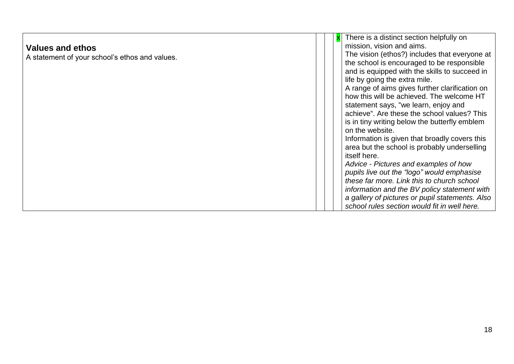|                                                |  | $x$ There is a distinct section helpfully on    |
|------------------------------------------------|--|-------------------------------------------------|
| <b>Values and ethos</b>                        |  | mission, vision and aims.                       |
| A statement of your school's ethos and values. |  | The vision (ethos?) includes that everyone at   |
|                                                |  | the school is encouraged to be responsible      |
|                                                |  | and is equipped with the skills to succeed in   |
|                                                |  | life by going the extra mile.                   |
|                                                |  | A range of aims gives further clarification on  |
|                                                |  | how this will be achieved. The welcome HT       |
|                                                |  | statement says, "we learn, enjoy and            |
|                                                |  | achieve". Are these the school values? This     |
|                                                |  | is in tiny writing below the butterfly emblem   |
|                                                |  | on the website.                                 |
|                                                |  | Information is given that broadly covers this   |
|                                                |  | area but the school is probably underselling    |
|                                                |  | itself here.                                    |
|                                                |  | Advice - Pictures and examples of how           |
|                                                |  | pupils live out the "logo" would emphasise      |
|                                                |  | these far more. Link this to church school      |
|                                                |  | information and the BV policy statement with    |
|                                                |  | a gallery of pictures or pupil statements. Also |
|                                                |  | school rules section would fit in well here.    |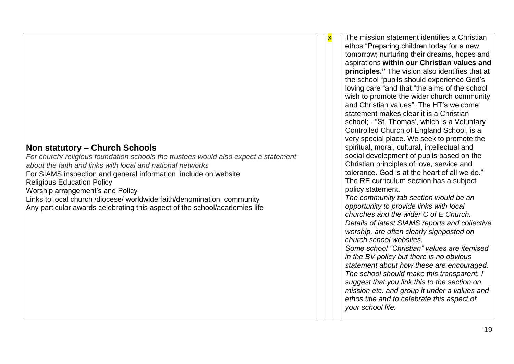*For church/ religious foundation schools the trustees would also expect a statement about the faith and links with local and national networks* For SIAMS inspection and general information include on website Religious Education Policy Worship arrangement's and Policy Links to local church /diocese/ worldwide faith/denomination community Any particular awards celebrating this aspect of the school/academies life

The mission statement identifies a Christian ethos "Preparing children today for a new tomorrow; nurturing their dreams, hopes and aspirations **within our Christian values and principles."** The vision also identifies that at the school "pupils should experience God's loving care "and that "the aims of the school wish to promote the wider church community and Christian values". The HT's welcome statement makes clear it is a Christian school; - "St. Thomas', which is a Voluntary Controlled Church of England School, is a very special place. We seek to promote the spiritual, moral, cultural, intellectual and social development of pupils based on the Christian principles of love, service and tolerance. God is at the heart of all we do." The RE curriculum section has a subject policy statement. *The community tab section would be an opportunity to provide links with local churches and the wider C of E Church. Details of latest SIAMS reports and collective worship, are often clearly signposted on church school websites. Some school "Christian" values are itemised in the BV policy but there is no obvious statement about how these are encouraged. The school should make this transparent. I suggest that you link this to the section on mission etc. and group it under a values and ethos title and to celebrate this aspect of your school life.*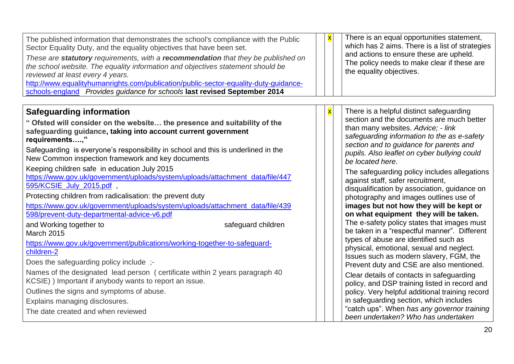| The published information that demonstrates the school's compliance with the Public<br>Sector Equality Duty, and the equality objectives that have been set.<br>These are statutory requirements, with a recommendation that they be published on<br>the school website. The equality information and objectives statement should be<br>reviewed at least every 4 years.<br>http://www.equalityhumanrights.com/publication/public-sector-equality-duty-guidance-<br>schools-england Provides guidance for schools last revised September 2014                                                                                                                                                                                                                                                                                                                                                                                                                                                                                                                                                         | $\overline{\mathbf{x}}$ | There is an equal opportunities statement,<br>which has 2 aims. There is a list of strategies<br>and actions to ensure these are upheld.<br>The policy needs to make clear if these are<br>the equality objectives.                                                                                                                                                                                                                                                                                                                                                                                                                                                                                                                                                                                                                                                                                                                                                                      |
|-------------------------------------------------------------------------------------------------------------------------------------------------------------------------------------------------------------------------------------------------------------------------------------------------------------------------------------------------------------------------------------------------------------------------------------------------------------------------------------------------------------------------------------------------------------------------------------------------------------------------------------------------------------------------------------------------------------------------------------------------------------------------------------------------------------------------------------------------------------------------------------------------------------------------------------------------------------------------------------------------------------------------------------------------------------------------------------------------------|-------------------------|------------------------------------------------------------------------------------------------------------------------------------------------------------------------------------------------------------------------------------------------------------------------------------------------------------------------------------------------------------------------------------------------------------------------------------------------------------------------------------------------------------------------------------------------------------------------------------------------------------------------------------------------------------------------------------------------------------------------------------------------------------------------------------------------------------------------------------------------------------------------------------------------------------------------------------------------------------------------------------------|
| <b>Safeguarding information</b><br>" Ofsted will consider on the website the presence and suitability of the<br>safeguarding guidance, taking into account current government<br>requirements,"<br>Safeguarding is everyone's responsibility in school and this is underlined in the<br>New Common inspection framework and key documents<br>Keeping children safe in education July 2015<br>https://www.gov.uk/government/uploads/system/uploads/attachment_data/file/447<br>595/KCSIE_July_2015.pdf<br>Protecting children from radicalisation: the prevent duty<br>https://www.gov.uk/government/uploads/system/uploads/attachment_data/file/439<br>598/prevent-duty-departmental-advice-v6.pdf<br>safeguard children<br>and Working together to<br><b>March 2015</b><br>https://www.gov.uk/government/publications/working-together-to-safeguard-<br>children-2<br>Does the safeguarding policy include;-<br>Names of the designated lead person (certificate within 2 years paragraph 40<br>KCSIE) ) Important if anybody wants to report an issue.<br>Outlines the signs and symptoms of abuse. | $\overline{\mathbf{x}}$ | There is a helpful distinct safeguarding<br>section and the documents are much better<br>than many websites. Advice; - link<br>safeguarding information to the as e-safety<br>section and to guidance for parents and<br>pupils. Also leaflet on cyber bullying could<br>be located here.<br>The safeguarding policy includes allegations<br>against staff, safer recruitment,<br>disqualification by association, guidance on<br>photography and images outlines use of<br>images but not how they will be kept or<br>on what equipment they will be taken.<br>The e-safety policy states that images must<br>be taken in a "respectful manner". Different<br>types of abuse are identified such as<br>physical, emotional, sexual and neglect.<br>Issues such as modern slavery, FGM, the<br>Prevent duty and CSE are also mentioned.<br>Clear details of contacts in safeguarding<br>policy, and DSP training listed in record and<br>policy. Very helpful additional training record |
| Explains managing disclosures.<br>The date created and when reviewed                                                                                                                                                                                                                                                                                                                                                                                                                                                                                                                                                                                                                                                                                                                                                                                                                                                                                                                                                                                                                                  |                         | in safeguarding section, which includes<br>"catch ups". When has any governor training<br>been undertaken? Who has undertaken                                                                                                                                                                                                                                                                                                                                                                                                                                                                                                                                                                                                                                                                                                                                                                                                                                                            |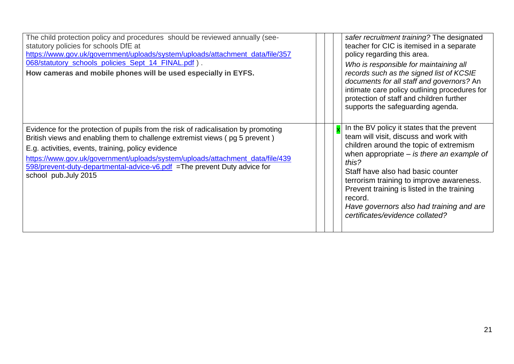| The child protection policy and procedures should be reviewed annually (see-<br>statutory policies for schools DfE at<br>https://www.gov.uk/government/uploads/system/uploads/attachment_data/file/357<br>068/statutory_schools_policies_Sept_14_FINAL.pdf).<br>How cameras and mobile phones will be used especially in EYFS.                                                                                |  | safer recruitment training? The designated<br>teacher for CIC is itemised in a separate<br>policy regarding this area.<br>Who is responsible for maintaining all<br>records such as the signed list of KCSIE<br>documents for all staff and governors? An<br>intimate care policy outlining procedures for<br>protection of staff and children further<br>supports the safeguarding agenda.                      |
|---------------------------------------------------------------------------------------------------------------------------------------------------------------------------------------------------------------------------------------------------------------------------------------------------------------------------------------------------------------------------------------------------------------|--|------------------------------------------------------------------------------------------------------------------------------------------------------------------------------------------------------------------------------------------------------------------------------------------------------------------------------------------------------------------------------------------------------------------|
| Evidence for the protection of pupils from the risk of radicalisation by promoting<br>British views and enabling them to challenge extremist views (pg 5 prevent)<br>E.g. activities, events, training, policy evidence<br>https://www.gov.uk/government/uploads/system/uploads/attachment_data/file/439<br>598/prevent-duty-departmental-advice-v6.pdf = The prevent Duty advice for<br>school pub.July 2015 |  | In the BV policy it states that the prevent<br>team will visit, discuss and work with<br>children around the topic of extremism<br>when appropriate $-$ is there an example of<br>this?<br>Staff have also had basic counter<br>terrorism training to improve awareness.<br>Prevent training is listed in the training<br>record.<br>Have governors also had training and are<br>certificates/evidence collated? |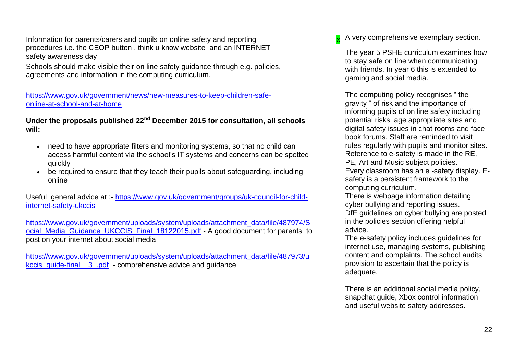Information for parents/carers and pupils on online safety and reporting procedures i.e. the CEOP button , think u know website and an INTERNET safety awareness day Schools should make visible their on line safety guidance through e.g. policies, agreements and information in the computing curriculum. [https://www.gov.uk/government/news/new-measures-to-keep-children-safe](https://www.gov.uk/government/news/new-measures-to-keep-children-safe-online-at-school-and-at-home)[online-at-school-and-at-home](https://www.gov.uk/government/news/new-measures-to-keep-children-safe-online-at-school-and-at-home) **Under the proposals published 22nd December 2015 for consultation, all schools will:** need to have appropriate filters and monitoring systems, so that no child can access harmful content via the school's IT systems and concerns can be spotted quickly • be required to ensure that they teach their pupils about safeguarding, including online Useful general advice at ;- [https://www.gov.uk/government/groups/uk-council-for-child](https://www.gov.uk/government/groups/uk-council-for-child-internet-safety-ukccis)[internet-safety-ukccis](https://www.gov.uk/government/groups/uk-council-for-child-internet-safety-ukccis) [https://www.gov.uk/government/uploads/system/uploads/attachment\\_data/file/487974/S](https://www.gov.uk/government/uploads/system/uploads/attachment_data/file/487974/Social_Media_Guidance_UKCCIS_Final_18122015.pdf) ocial Media Guidance UKCCIS Final 18122015.pdf - A good document for parents to post on your internet about social media [https://www.gov.uk/government/uploads/system/uploads/attachment\\_data/file/487973/u](https://www.gov.uk/government/uploads/system/uploads/attachment_data/file/487973/ukccis_guide-final__3_.pdf) [kccis\\_guide-final\\_\\_3\\_.pdf](https://www.gov.uk/government/uploads/system/uploads/attachment_data/file/487973/ukccis_guide-final__3_.pdf) - comprehensive advice and guidance A very comprehensive exemplary section. The year 5 PSHE curriculum examines how to stay safe on line when communicating with friends. In year 6 this is extended to gaming and social media. The computing policy recognises " the gravity " of risk and the importance of informing pupils of on line safety including potential risks, age appropriate sites and digital safety issues in chat rooms and face book forums. Staff are reminded to visit rules regularly with pupils and monitor sites. Reference to e-safety is made in the RE, PE, Art and Music subject policies. Every classroom has an e -safety display. Esafety is a persistent framework to the computing curriculum. There is webpage information detailing cyber bullying and reporting issues. DfE guidelines on cyber bullying are posted in the policies section offering helpful advice. The e-safety policy includes guidelines for internet use, managing systems, publishing content and complaints. The school audits provision to ascertain that the policy is adequate. There is an additional social media policy, snapchat quide, Xbox control information and useful website safety addresses.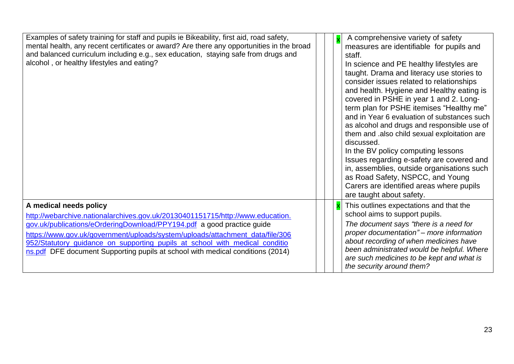| Examples of safety training for staff and pupils ie Bikeability, first aid, road safety,<br>mental health, any recent certificates or award? Are there any opportunities in the broad<br>and balanced curriculum including e.g., sex education, staying safe from drugs and<br>alcohol, or healthy lifestyles and eating?                                                                                                            | $\overline{\mathsf{x}}$ | A comprehensive variety of safety<br>measures are identifiable for pupils and<br>staff.<br>In science and PE healthy lifestyles are<br>taught. Drama and literacy use stories to<br>consider issues related to relationships<br>and health. Hygiene and Healthy eating is<br>covered in PSHE in year 1 and 2. Long-<br>term plan for PSHE itemises "Healthy me"<br>and in Year 6 evaluation of substances such<br>as alcohol and drugs and responsible use of<br>them and .also child sexual exploitation are<br>discussed.<br>In the BV policy computing lessons<br>Issues regarding e-safety are covered and<br>in, assemblies, outside organisations such<br>as Road Safety, NSPCC, and Young<br>Carers are identified areas where pupils<br>are taught about safety. |
|--------------------------------------------------------------------------------------------------------------------------------------------------------------------------------------------------------------------------------------------------------------------------------------------------------------------------------------------------------------------------------------------------------------------------------------|-------------------------|--------------------------------------------------------------------------------------------------------------------------------------------------------------------------------------------------------------------------------------------------------------------------------------------------------------------------------------------------------------------------------------------------------------------------------------------------------------------------------------------------------------------------------------------------------------------------------------------------------------------------------------------------------------------------------------------------------------------------------------------------------------------------|
| A medical needs policy<br>http://webarchive.nationalarchives.gov.uk/20130401151715/http://www.education.<br>gov.uk/publications/eOrderingDownload/PPY194.pdf a good practice guide<br>https://www.gov.uk/government/uploads/system/uploads/attachment_data/file/306<br>952/Statutory_guidance_on_supporting_pupils_at_school_with_medical_conditio<br>ns.pdf DFE document Supporting pupils at school with medical conditions (2014) |                         | $x$ This outlines expectations and that the<br>school aims to support pupils.<br>The document says "there is a need for<br>proper documentation" – more information<br>about recording of when medicines have<br>been administrated would be helpful. Where<br>are such medicines to be kept and what is<br>the security around them?                                                                                                                                                                                                                                                                                                                                                                                                                                    |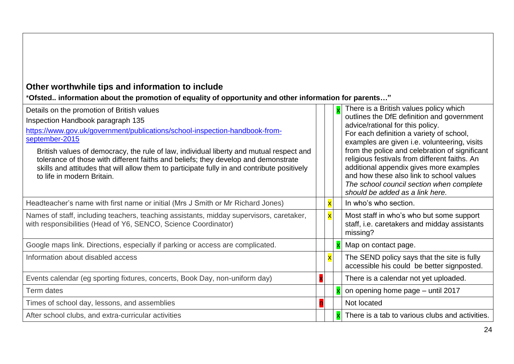## **Other worthwhile tips and information to include**

\***Ofsted.. information about the promotion of equality of opportunity and other information for parents…"**

| Details on the promotion of British values<br>Inspection Handbook paragraph 135<br>https://www.gov.uk/government/publications/school-inspection-handbook-from-<br>september-2015<br>British values of democracy, the rule of law, individual liberty and mutual respect and<br>tolerance of those with different faiths and beliefs; they develop and demonstrate<br>skills and attitudes that will allow them to participate fully in and contribute positively<br>to life in modern Britain. |                         | There is a British values policy which<br>outlines the DfE definition and government<br>advice/rational for this policy.<br>For each definition a variety of school,<br>examples are given i.e. volunteering, visits<br>from the police and celebration of significant<br>religious festivals from different faiths. An<br>additional appendix gives more examples<br>and how these also link to school values<br>The school council section when complete<br>should be added as a link here. |
|------------------------------------------------------------------------------------------------------------------------------------------------------------------------------------------------------------------------------------------------------------------------------------------------------------------------------------------------------------------------------------------------------------------------------------------------------------------------------------------------|-------------------------|-----------------------------------------------------------------------------------------------------------------------------------------------------------------------------------------------------------------------------------------------------------------------------------------------------------------------------------------------------------------------------------------------------------------------------------------------------------------------------------------------|
| Headteacher's name with first name or initial (Mrs J Smith or Mr Richard Jones)                                                                                                                                                                                                                                                                                                                                                                                                                |                         | In who's who section.                                                                                                                                                                                                                                                                                                                                                                                                                                                                         |
| Names of staff, including teachers, teaching assistants, midday supervisors, caretaker,<br>with responsibilities (Head of Y6, SENCO, Science Coordinator)                                                                                                                                                                                                                                                                                                                                      | $\mathsf{x}$            | Most staff in who's who but some support<br>staff, i.e. caretakers and midday assistants<br>missing?                                                                                                                                                                                                                                                                                                                                                                                          |
| Google maps link. Directions, especially if parking or access are complicated.                                                                                                                                                                                                                                                                                                                                                                                                                 |                         | Map on contact page.                                                                                                                                                                                                                                                                                                                                                                                                                                                                          |
| Information about disabled access                                                                                                                                                                                                                                                                                                                                                                                                                                                              | $\overline{\mathbf{x}}$ | The SEND policy says that the site is fully<br>accessible his could be better signposted.                                                                                                                                                                                                                                                                                                                                                                                                     |
| Events calendar (eg sporting fixtures, concerts, Book Day, non-uniform day)                                                                                                                                                                                                                                                                                                                                                                                                                    |                         | There is a calendar not yet uploaded.                                                                                                                                                                                                                                                                                                                                                                                                                                                         |
| Term dates                                                                                                                                                                                                                                                                                                                                                                                                                                                                                     |                         | on opening home page – until 2017                                                                                                                                                                                                                                                                                                                                                                                                                                                             |
| Times of school day, lessons, and assemblies                                                                                                                                                                                                                                                                                                                                                                                                                                                   |                         | Not located                                                                                                                                                                                                                                                                                                                                                                                                                                                                                   |
| After school clubs, and extra-curricular activities                                                                                                                                                                                                                                                                                                                                                                                                                                            |                         | There is a tab to various clubs and activities.                                                                                                                                                                                                                                                                                                                                                                                                                                               |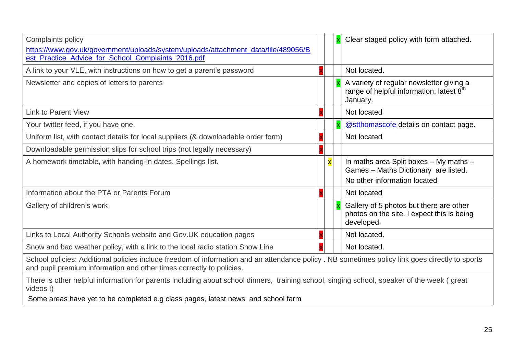| Complaints policy<br>https://www.gov.uk/government/uploads/system/uploads/attachment_data/file/489056/B<br>est_Practice_Advice_for_School_Complaints_2016.pdf                                                          |                         | Clear staged policy with form attached.                                                                        |
|------------------------------------------------------------------------------------------------------------------------------------------------------------------------------------------------------------------------|-------------------------|----------------------------------------------------------------------------------------------------------------|
| A link to your VLE, with instructions on how to get a parent's password                                                                                                                                                |                         | Not located.                                                                                                   |
| Newsletter and copies of letters to parents                                                                                                                                                                            |                         | A variety of regular newsletter giving a<br>range of helpful information, latest $8th$<br>January.             |
| <b>Link to Parent View</b>                                                                                                                                                                                             |                         | Not located                                                                                                    |
| Your twitter feed, if you have one.                                                                                                                                                                                    |                         | @stthomascofe details on contact page.                                                                         |
| Uniform list, with contact details for local suppliers (& downloadable order form)                                                                                                                                     |                         | Not located                                                                                                    |
| Downloadable permission slips for school trips (not legally necessary)                                                                                                                                                 |                         |                                                                                                                |
| A homework timetable, with handing-in dates. Spellings list.                                                                                                                                                           | $\overline{\mathbf{x}}$ | In maths area Split boxes - My maths -<br>Games - Maths Dictionary are listed.<br>No other information located |
| Information about the PTA or Parents Forum                                                                                                                                                                             |                         | Not located                                                                                                    |
| Gallery of children's work                                                                                                                                                                                             |                         | Gallery of 5 photos but there are other<br>photos on the site. I expect this is being<br>developed.            |
| Links to Local Authority Schools website and Gov. UK education pages                                                                                                                                                   |                         | Not located.                                                                                                   |
| Snow and bad weather policy, with a link to the local radio station Snow Line                                                                                                                                          |                         | Not located.                                                                                                   |
| School policies: Additional policies include freedom of information and an attendance policy. NB sometimes policy link goes directly to sports<br>and pupil premium information and other times correctly to policies. |                         |                                                                                                                |
| There is other helpful information for parents including about school dinners, training school, singing school, speaker of the week (great<br>videos!)                                                                 |                         |                                                                                                                |

Some areas have yet to be completed e.g class pages, latest news and school farm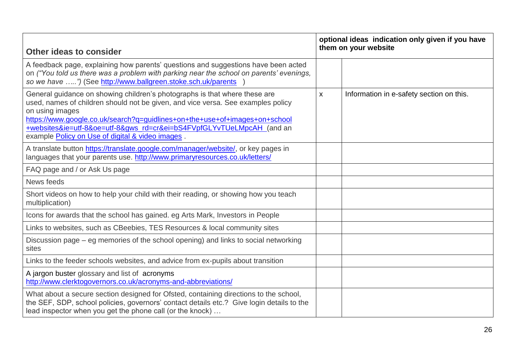| Other ideas to consider                                                                                                                                                                                                                                                                                                                                                                      |                    | optional ideas indication only given if you have<br>them on your website |  |  |
|----------------------------------------------------------------------------------------------------------------------------------------------------------------------------------------------------------------------------------------------------------------------------------------------------------------------------------------------------------------------------------------------|--------------------|--------------------------------------------------------------------------|--|--|
| A feedback page, explaining how parents' questions and suggestions have been acted<br>on ("You told us there was a problem with parking near the school on parents' evenings,<br>so we have ") (See http://www.ballgreen.stoke.sch.uk/parents                                                                                                                                                |                    |                                                                          |  |  |
| General guidance on showing children's photographs is that where these are<br>used, names of children should not be given, and vice versa. See examples policy<br>on using images<br>https://www.google.co.uk/search?q=guidlines+on+the+use+of+images+on+school<br>+websites&ie=utf-8&oe=utf-8&gws_rd=cr&ei=bS4FVpfGLYvTUeLMpcAH_(and an<br>example Policy on Use of digital & video images. | $\pmb{\mathsf{X}}$ | Information in e-safety section on this.                                 |  |  |
| A translate button https://translate.google.com/manager/website/, or key pages in<br>languages that your parents use. http://www.primaryresources.co.uk/letters/                                                                                                                                                                                                                             |                    |                                                                          |  |  |
| FAQ page and / or Ask Us page                                                                                                                                                                                                                                                                                                                                                                |                    |                                                                          |  |  |
| News feeds                                                                                                                                                                                                                                                                                                                                                                                   |                    |                                                                          |  |  |
| Short videos on how to help your child with their reading, or showing how you teach<br>multiplication)                                                                                                                                                                                                                                                                                       |                    |                                                                          |  |  |
| Icons for awards that the school has gained. eg Arts Mark, Investors in People                                                                                                                                                                                                                                                                                                               |                    |                                                                          |  |  |
| Links to websites, such as CBeebies, TES Resources & local community sites                                                                                                                                                                                                                                                                                                                   |                    |                                                                          |  |  |
| Discussion page – eg memories of the school opening) and links to social networking<br>sites                                                                                                                                                                                                                                                                                                 |                    |                                                                          |  |  |
| Links to the feeder schools websites, and advice from ex-pupils about transition                                                                                                                                                                                                                                                                                                             |                    |                                                                          |  |  |
| A jargon buster glossary and list of acronyms<br>http://www.clerktogovernors.co.uk/acronyms-and-abbreviations/                                                                                                                                                                                                                                                                               |                    |                                                                          |  |  |
| What about a secure section designed for Ofsted, containing directions to the school,<br>the SEF, SDP, school policies, governors' contact details etc.? Give login details to the<br>lead inspector when you get the phone call (or the knock)                                                                                                                                              |                    |                                                                          |  |  |